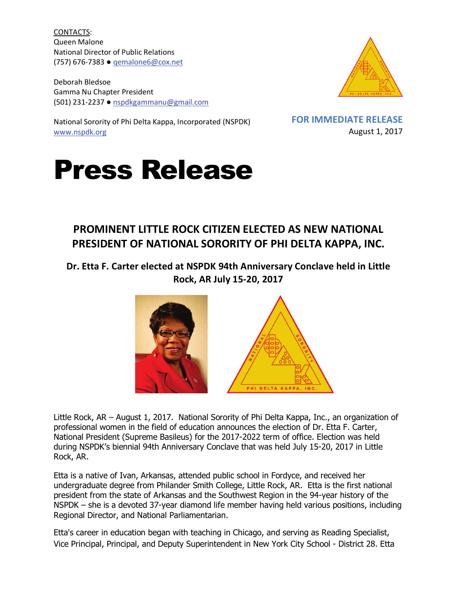CONTACTS: Queen Malone National Director of Public Relations (757) 676-7383 ● [qemalone6@cox.net](mailto:qemalone6@cox.net)

Deborah Bledsoe Gamma Nu Chapter President (501) 231-2237 ● [nspdkgammanu@gmail.com](mailto:nspdkgammanu@gmail.com)



National Sorority of Phi Delta Kappa, Incorporated (NSPDK) [www.nspdk.org](http://www.nspdk.org/)

**FOR IMMEDIATE RELEASE** August 1, 2017

## Press Release

## **PROMINENT LITTLE ROCK CITIZEN ELECTED AS NEW NATIONAL PRESIDENT OF NATIONAL SORORITY OF PHI DELTA KAPPA, INC.**

## **Dr. Etta F. Carter elected at NSPDK 94th Anniversary Conclave held in Little Rock, AR July 15-20, 2017**



Little Rock, AR – August 1, 2017. National Sorority of Phi Delta Kappa, Inc., an organization of professional women in the field of education announces the election of Dr. Etta F. Carter, National President (Supreme Basileus) for the 2017-2022 term of office. Election was held during NSPDK's biennial 94th Anniversary Conclave that was held July 15-20, 2017 in Little Rock, AR.

Etta is a native of Ivan, Arkansas, attended public school in Fordyce, and received her undergraduate degree from Philander Smith College, Little Rock, AR. Etta is the first national president from the state of Arkansas and the Southwest Region in the 94-year history of the NSPDK – she is a devoted 37-year diamond life member having held various positions, including Regional Director, and National Parliamentarian.

Etta's career in education began with teaching in Chicago, and serving as Reading Specialist, Vice Principal, Principal, and Deputy Superintendent in New York City School - District 28. Etta